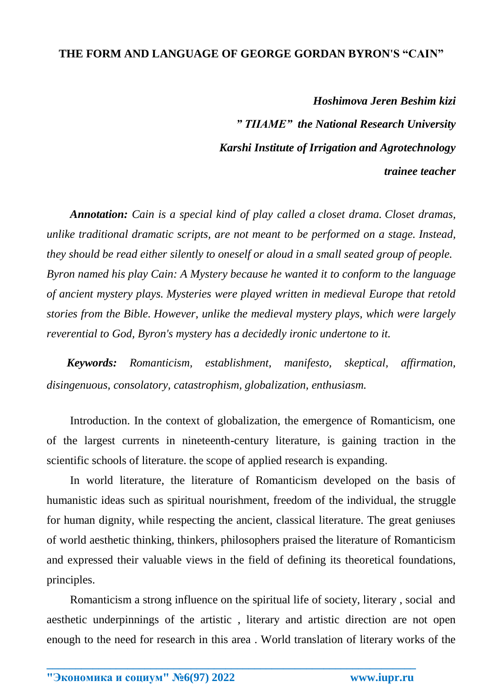## **THE FORM AND LANGUAGE OF GEORGE GORDAN BYRON'S "CAIN"**

*Hoshimova Jeren Beshim kizi " TIIAME" the National Research University Karshi Institute of Irrigation and Agrotechnology trainee teacher*

*Annotation: Cain is a special kind of play called a closet drama. Closet dramas, unlike traditional dramatic scripts, are not meant to be performed on a stage. Instead, they should be read either silently to oneself or aloud in a small seated group of people. Byron named his play Cain: A Mystery because he wanted it to conform to the language of ancient mystery plays. Mysteries were played written in medieval Europe that retold stories from the Bible. However, unlike the medieval mystery plays, which were largely reverential to God, Byron's mystery has a decidedly ironic undertone to it.*

 *Keywords: Romanticism, establishment, manifesto, skeptical, affirmation, disingenuous, consolatory, catastrophism, globalization, enthusiasm.*

Introduction. In the context of globalization, the emergence of Romanticism, one of the largest currents in nineteenth-century literature, is gaining traction in the scientific schools of literature. the scope of applied research is expanding.

In world literature, the literature of Romanticism developed on the basis of humanistic ideas such as spiritual nourishment, freedom of the individual, the struggle for human dignity, while respecting the ancient, classical literature. The great geniuses of world aesthetic thinking, thinkers, philosophers praised the literature of Romanticism and expressed their valuable views in the field of defining its theoretical foundations, principles.

Romanticism a strong influence on the spiritual life of society, literary , social and aesthetic underpinnings of the artistic , literary and artistic direction are not open enough to the need for research in this area . World translation of literary works of the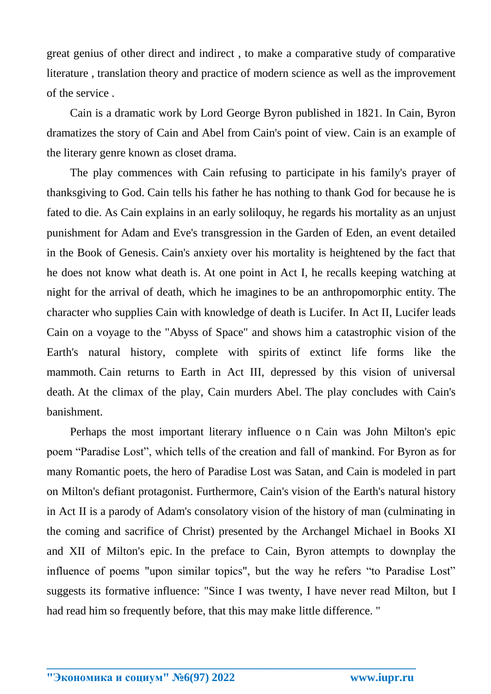great genius of other direct and indirect , to make a comparative study of comparative literature , translation theory and practice of modern science as well as the improvement of the service .

Cain is a dramatic work by Lord George Byron published in 1821. In Cain, Byron dramatizes the story of Cain and Abel from Cain's point of view. Cain is an example of the literary genre known as closet drama.

The play commences with Cain refusing to participate in his family's prayer of thanksgiving to God. Cain tells his father he has nothing to thank God for because he is fated to die. As Cain explains in an early soliloquy, he regards his mortality as an unjust punishment for Adam and Eve's transgression in the Garden of Eden, an event detailed in the Book of Genesis. Cain's anxiety over his mortality is heightened by the fact that he does not know what death is. At one point in Act I, he recalls keeping watching at night for the arrival of death, which he imagines to be an anthropomorphic entity. The character who supplies Cain with knowledge of death is Lucifer. In Act II, Lucifer leads Cain on a voyage to the "Abyss of Space" and shows him a catastrophic vision of the Earth's natural history, complete with spirits of extinct life forms like the mammoth. Cain returns to Earth in Act III, depressed by this vision of universal death. At the climax of the play, Cain murders Abel. The play concludes with Cain's banishment.

Perhaps the most important literary influence o n Cain was John Milton's epic poem "Paradise Lost", which tells of the creation and fall of mankind. For Byron as for many Romantic poets, the hero of Paradise Lost was Satan, and Cain is modeled in part on Milton's defiant protagonist. Furthermore, Cain's vision of the Earth's natural history in Act II is a parody of Adam's consolatory vision of the history of man (culminating in the coming and sacrifice of Christ) presented by the Archangel Michael in Books XI and XII of Milton's epic. In the preface to Cain, Byron attempts to downplay the influence of poems "upon similar topics", but the way he refers "to Paradise Lost" suggests its formative influence: "Since I was twenty, I have never read Milton, but I had read him so frequently before, that this may make little difference. "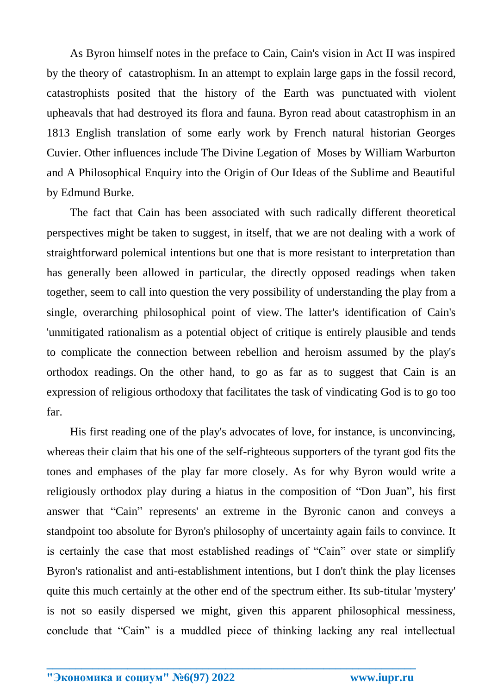As Byron himself notes in the preface to Cain, Cain's vision in Act II was inspired by the theory of catastrophism. In an attempt to explain large gaps in the fossil record, catastrophists posited that the history of the Earth was punctuated with violent upheavals that had destroyed its flora and fauna. Byron read about catastrophism in an 1813 English translation of some early work by French natural historian Georges Cuvier. Other influences include The Divine Legation of Moses by William Warburton and A Philosophical Enquiry into the Origin of Our Ideas of the Sublime and Beautiful by Edmund Burke.

The fact that Cain has been associated with such radically different theoretical perspectives might be taken to suggest, in itself, that we are not dealing with a work of straightforward polemical intentions but one that is more resistant to interpretation than has generally been allowed in particular, the directly opposed readings when taken together, seem to call into question the very possibility of understanding the play from a single, overarching philosophical point of view. The latter's identification of Cain's 'unmitigated rationalism as a potential object of critique is entirely plausible and tends to complicate the connection between rebellion and heroism assumed by the play's orthodox readings. On the other hand, to go as far as to suggest that Cain is an expression of religious orthodoxy that facilitates the task of vindicating God is to go too far.

His first reading one of the play's advocates of love, for instance, is unconvincing, whereas their claim that his one of the self-righteous supporters of the tyrant god fits the tones and emphases of the play far more closely. As for why Byron would write a religiously orthodox play during a hiatus in the composition of "Don Juan", his first answer that "Cain" represents' an extreme in the Byronic canon and conveys a standpoint too absolute for Byron's philosophy of uncertainty again fails to convince. It is certainly the case that most established readings of "Cain" over state or simplify Byron's rationalist and anti-establishment intentions, but I don't think the play licenses quite this much certainly at the other end of the spectrum either. Its sub-titular 'mystery' is not so easily dispersed we might, given this apparent philosophical messiness, conclude that "Cain" is a muddled piece of thinking lacking any real intellectual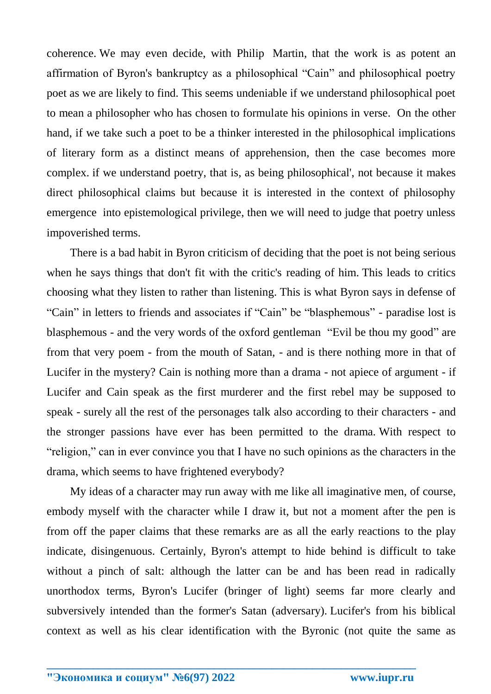coherence. We may even decide, with Philip Martin, that the work is as potent an affirmation of Byron's bankruptcy as a philosophical "Cain" and philosophical poetry poet as we are likely to find. This seems undeniable if we understand philosophical poet to mean a philosopher who has chosen to formulate his opinions in verse. On the other hand, if we take such a poet to be a thinker interested in the philosophical implications of literary form as a distinct means of apprehension, then the case becomes more complex. if we understand poetry, that is, as being philosophical', not because it makes direct philosophical claims but because it is interested in the context of philosophy emergence into epistemological privilege, then we will need to judge that poetry unless impoverished terms.

There is a bad habit in Byron criticism of deciding that the poet is not being serious when he says things that don't fit with the critic's reading of him. This leads to critics choosing what they listen to rather than listening. This is what Byron says in defense of "Cain" in letters to friends and associates if "Cain" be "blasphemous" - paradise lost is blasphemous - and the very words of the oxford gentleman "Evil be thou my good" are from that very poem - from the mouth of Satan, - and is there nothing more in that of Lucifer in the mystery? Cain is nothing more than a drama - not apiece of argument - if Lucifer and Cain speak as the first murderer and the first rebel may be supposed to speak - surely all the rest of the personages talk also according to their characters - and the stronger passions have ever has been permitted to the drama. With respect to "religion," can in ever convince you that I have no such opinions as the characters in the drama, which seems to have frightened everybody?

My ideas of a character may run away with me like all imaginative men, of course, embody myself with the character while I draw it, but not a moment after the pen is from off the paper claims that these remarks are as all the early reactions to the play indicate, disingenuous. Certainly, Byron's attempt to hide behind is difficult to take without a pinch of salt: although the latter can be and has been read in radically unorthodox terms, Byron's Lucifer (bringer of light) seems far more clearly and subversively intended than the former's Satan (adversary). Lucifer's from his biblical context as well as his clear identification with the Byronic (not quite the same as